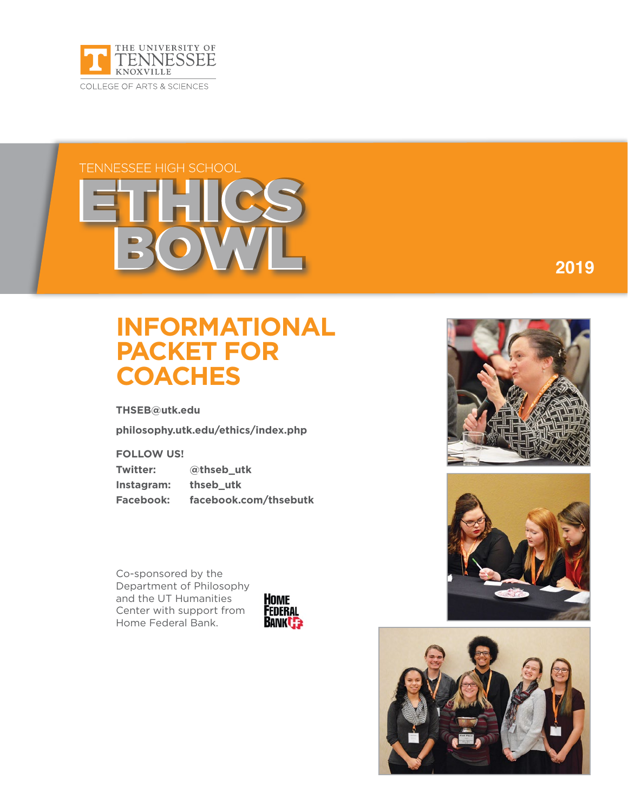

# **TENNESSEE HIGH SCHOOL**

# **INFORMATIONAL PACKET FOR COACHES**

**THSEB@utk.edu**

**philosophy.utk.edu/ethics/index.php**

**FOLLOW US!**

**Twitter: @thseb\_utk Instagram: thseb\_utk Facebook: facebook.com/thsebutk**

Co-sponsored by the Department of Philosophy and the UT Humanities Center with support from Home Federal Bank.





**2018 2019**



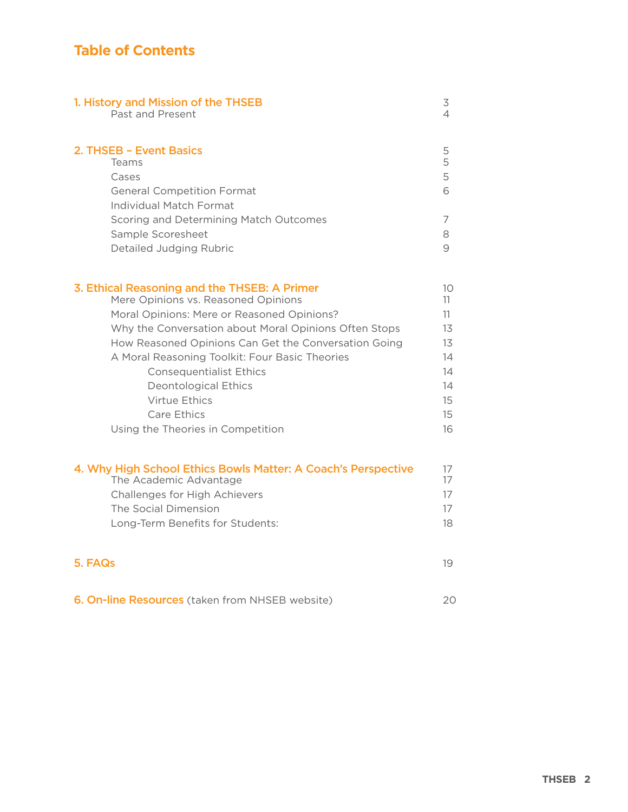# **Table of Contents**

| 1. History and Mission of the THSEB                                                                       | 3                |
|-----------------------------------------------------------------------------------------------------------|------------------|
| Past and Present                                                                                          | 4                |
| 2. THSEB - Event Basics<br>Teams<br>Cases<br><b>General Competition Format</b><br>Individual Match Format | 5<br>5<br>5<br>6 |
| Scoring and Determining Match Outcomes                                                                    | 7                |
| Sample Scoresheet                                                                                         | 8                |
| Detailed Judging Rubric                                                                                   | 9                |
| 3. Ethical Reasoning and the THSEB: A Primer                                                              | 10               |
| Mere Opinions vs. Reasoned Opinions                                                                       | 11               |
| Moral Opinions: Mere or Reasoned Opinions?                                                                | 11               |
| Why the Conversation about Moral Opinions Often Stops                                                     | 13               |
| How Reasoned Opinions Can Get the Conversation Going                                                      | 13               |
| A Moral Reasoning Toolkit: Four Basic Theories                                                            | 14               |
| <b>Consequentialist Ethics</b>                                                                            | 14               |
| <b>Deontological Ethics</b>                                                                               | 14               |
| Virtue Ethics                                                                                             | 15               |
| Care Ethics                                                                                               | 15               |
| Using the Theories in Competition                                                                         | 16               |
| 4. Why High School Ethics Bowls Matter: A Coach's Perspective                                             | 17               |
| The Academic Advantage                                                                                    | 17               |
| <b>Challenges for High Achievers</b>                                                                      | 17               |
| The Social Dimension                                                                                      | 17               |
| Long-Term Benefits for Students:                                                                          | 18               |
| 5. FAQs                                                                                                   | 19               |
| 6. On-line Resources (taken from NHSEB website)                                                           | 20               |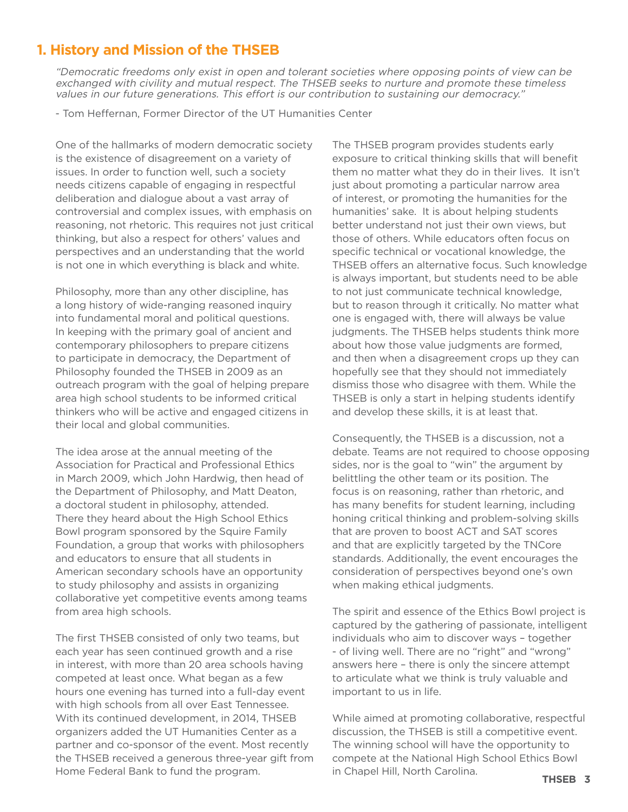# **1. History and Mission of the THSEB**

"Democratic freedoms only exist in open and tolerant societies where opposing points of view can be exchanged with civility and mutual respect. The THSEB seeks to nurture and promote these timeless values in our future generations. This effort is our contribution to sustaining our democracy."

- Tom Heffernan, Former Director of the UT Humanities Center

One of the hallmarks of modern democratic society is the existence of disagreement on a variety of issues. In order to function well, such a society needs citizens capable of engaging in respectful deliberation and dialogue about a vast array of controversial and complex issues, with emphasis on reasoning, not rhetoric. This requires not just critical thinking, but also a respect for others' values and perspectives and an understanding that the world is not one in which everything is black and white.

Philosophy, more than any other discipline, has a long history of wide-ranging reasoned inquiry into fundamental moral and political questions. In keeping with the primary goal of ancient and contemporary philosophers to prepare citizens to participate in democracy, the Department of Philosophy founded the THSEB in 2009 as an outreach program with the goal of helping prepare area high school students to be informed critical thinkers who will be active and engaged citizens in their local and global communities.

The idea arose at the annual meeting of the Association for Practical and Professional Ethics in March 2009, which John Hardwig, then head of the Department of Philosophy, and Matt Deaton, a doctoral student in philosophy, attended. There they heard about the High School Ethics Bowl program sponsored by the Squire Family Foundation, a group that works with philosophers and educators to ensure that all students in American secondary schools have an opportunity to study philosophy and assists in organizing collaborative yet competitive events among teams from area high schools.

The first THSEB consisted of only two teams, but each year has seen continued growth and a rise in interest, with more than 20 area schools having competed at least once. What began as a few hours one evening has turned into a full-day event with high schools from all over East Tennessee. With its continued development, in 2014, THSEB organizers added the UT Humanities Center as a partner and co-sponsor of the event. Most recently the THSEB received a generous three-year gift from Home Federal Bank to fund the program.

The THSEB program provides students early exposure to critical thinking skills that will benefit them no matter what they do in their lives. It isn't just about promoting a particular narrow area of interest, or promoting the humanities for the humanities' sake. It is about helping students better understand not just their own views, but those of others. While educators often focus on specific technical or vocational knowledge, the THSEB offers an alternative focus. Such knowledge is always important, but students need to be able to not just communicate technical knowledge, but to reason through it critically. No matter what one is engaged with, there will always be value judgments. The THSEB helps students think more about how those value judgments are formed, and then when a disagreement crops up they can hopefully see that they should not immediately dismiss those who disagree with them. While the THSEB is only a start in helping students identify and develop these skills, it is at least that.

Consequently, the THSEB is a discussion, not a debate. Teams are not required to choose opposing sides, nor is the goal to "win" the argument by belittling the other team or its position. The focus is on reasoning, rather than rhetoric, and has many benefits for student learning, including honing critical thinking and problem-solving skills that are proven to boost ACT and SAT scores and that are explicitly targeted by the TNCore standards. Additionally, the event encourages the consideration of perspectives beyond one's own when making ethical judgments.

The spirit and essence of the Ethics Bowl project is captured by the gathering of passionate, intelligent individuals who aim to discover ways – together - of living well. There are no "right" and "wrong" answers here – there is only the sincere attempt to articulate what we think is truly valuable and important to us in life.

While aimed at promoting collaborative, respectful discussion, the THSEB is still a competitive event. The winning school will have the opportunity to compete at the National High School Ethics Bowl in Chapel Hill, North Carolina.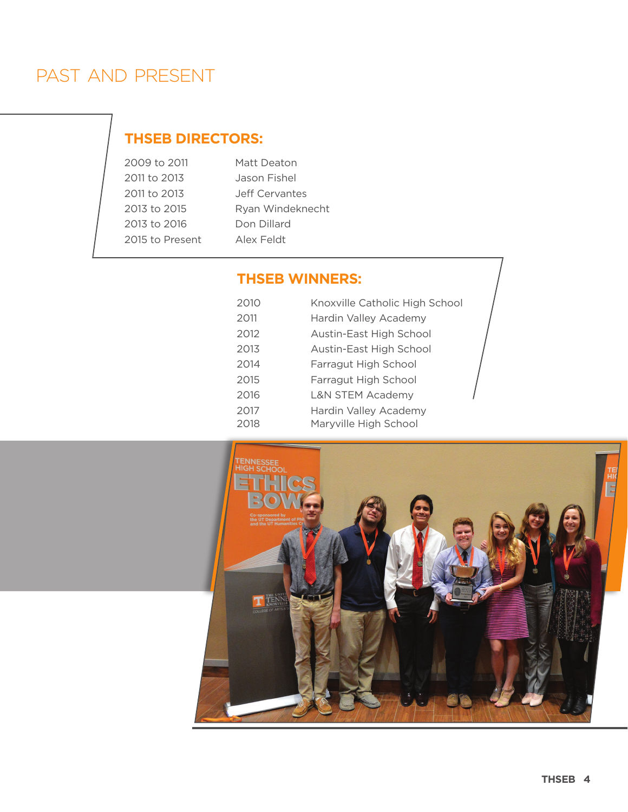# PAST AND PRESENT

# **THSEB DIRECTORS:**

| 2009 to 2011    | Matt Deaton      |
|-----------------|------------------|
| 2011 to 2013    | Jason Fishel     |
| 2011 to 2013    | Jeff Cervantes   |
| 2013 to 2015    | Ryan Windeknecht |
| 2013 to 2016    | Don Dillard      |
| 2015 to Present | Alex Feldt       |

## **THSEB WINNERS:**

| 2010 | Knoxville Catholic High Schoo |
|------|-------------------------------|
| 2011 | Hardin Valley Academy         |
| 2012 | Austin-East High School       |
| 2013 | Austin-East High School       |
| 2014 | Farragut High School          |
| 2015 | Farragut High School          |
| 2016 | <b>L&amp;N STEM Academy</b>   |
| 2017 | Hardin Valley Academy         |
| 2018 | Maryville High School         |
|      |                               |

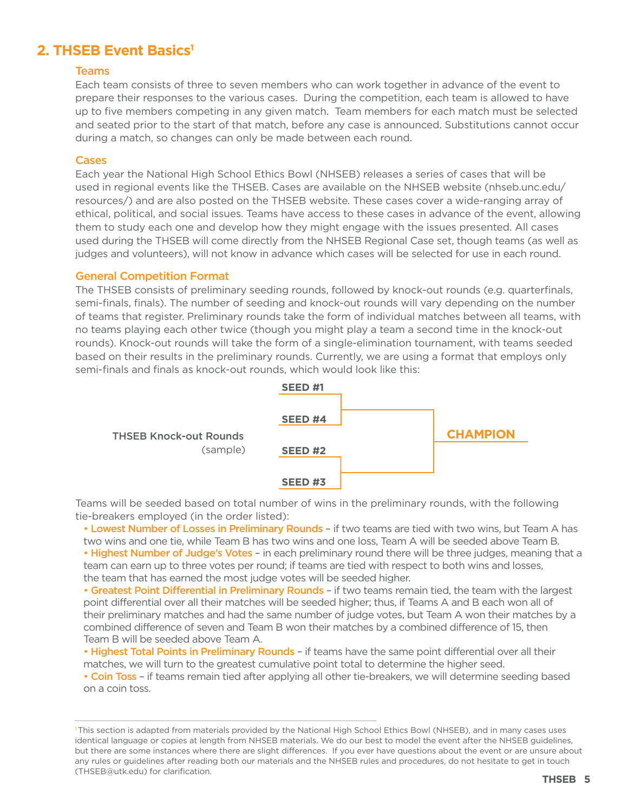# **2. THSEB Event Basics<sup>1</sup>**

### Teams

Each team consists of three to seven members who can work together in advance of the event to prepare their responses to the various cases. During the competition, each team is allowed to have up to five members competing in any given match. Team members for each match must be selected and seated prior to the start of that match, before any case is announced. Substitutions cannot occur during a match, so changes can only be made between each round.

### Cases

Each year the National High School Ethics Bowl (NHSEB) releases a series of cases that will be used in regional events like the THSEB. Cases are available on the NHSEB website (nhseb.unc.edu/ resources/) and are also posted on the THSEB website. These cases cover a wide-ranging array of ethical, political, and social issues. Teams have access to these cases in advance of the event, allowing them to study each one and develop how they might engage with the issues presented. All cases used during the THSEB will come directly from the NHSEB Regional Case set, though teams (as well as judges and volunteers), will not know in advance which cases will be selected for use in each round.

### General Competition Format

The THSEB consists of preliminary seeding rounds, followed by knock-out rounds (e.g. quarterfinals, semi-finals, finals). The number of seeding and knock-out rounds will vary depending on the number of teams that register. Preliminary rounds take the form of individual matches between all teams, with no teams playing each other twice (though you might play a team a second time in the knock-out rounds). Knock-out rounds will take the form of a single-elimination tournament, with teams seeded based on their results in the preliminary rounds. Currently, we are using a format that employs only semi-finals and finals as knock-out rounds, which would look like this:



Teams will be seeded based on total number of wins in the preliminary rounds, with the following tie-breakers employed (in the order listed):

 • Lowest Number of Losses in Preliminary Rounds – if two teams are tied with two wins, but Team A has two wins and one tie, while Team B has two wins and one loss, Team A will be seeded above Team B. • Highest Number of Judge's Votes - in each preliminary round there will be three judges, meaning that a team can earn up to three votes per round; if teams are tied with respect to both wins and losses, the team that has earned the most judge votes will be seeded higher.

• Greatest Point Differential in Preliminary Rounds - if two teams remain tied, the team with the largest point differential over all their matches will be seeded higher; thus, if Teams A and B each won all of their preliminary matches and had the same number of judge votes, but Team A won their matches by a combined difference of seven and Team B won their matches by a combined difference of 15, then Team B will be seeded above Team A.

• Highest Total Points in Preliminary Rounds - if teams have the same point differential over all their matches, we will turn to the greatest cumulative point total to determine the higher seed.

• Coin Toss – if teams remain tied after applying all other tie-breakers, we will determine seeding based on a coin toss.

<sup>1</sup> This section is adapted from materials provided by the National High School Ethics Bowl (NHSEB), and in many cases uses identical language or copies at length from NHSEB materials. We do our best to model the event after the NHSEB guidelines, but there are some instances where there are slight differences. If you ever have questions about the event or are unsure about any rules or guidelines after reading both our materials and the NHSEB rules and procedures, do not hesitate to get in touch (THSEB@utk.edu) for clarification.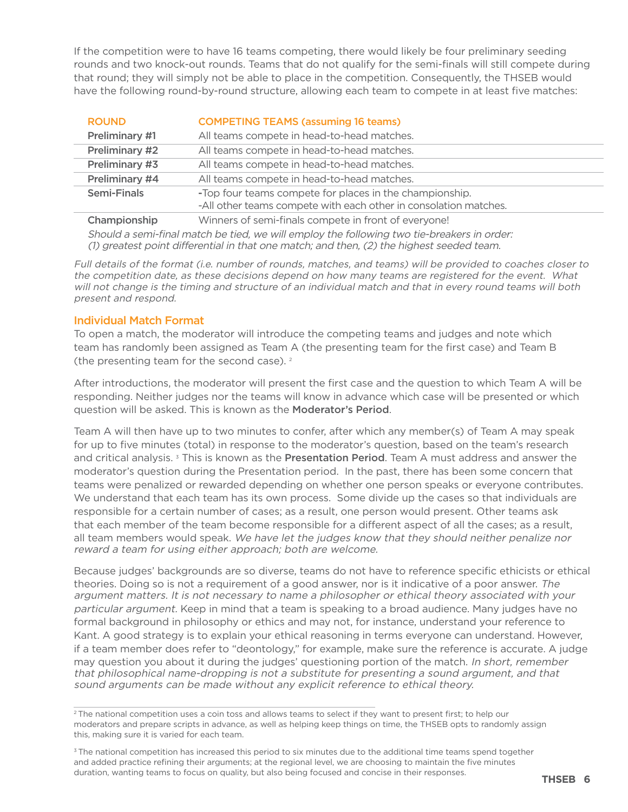If the competition were to have 16 teams competing, there would likely be four preliminary seeding rounds and two knock-out rounds. Teams that do not qualify for the semi-finals will still compete during that round; they will simply not be able to place in the competition. Consequently, the THSEB would have the following round-by-round structure, allowing each team to compete in at least five matches:

| <b>ROUND</b>          | <b>COMPETING TEAMS (assuming 16 teams)</b>                                                                                  |
|-----------------------|-----------------------------------------------------------------------------------------------------------------------------|
| Preliminary #1        | All teams compete in head-to-head matches.                                                                                  |
| <b>Preliminary #2</b> | All teams compete in head-to-head matches.                                                                                  |
| Preliminary #3        | All teams compete in head-to-head matches.                                                                                  |
| Preliminary #4        | All teams compete in head-to-head matches.                                                                                  |
| <b>Semi-Finals</b>    | -Top four teams compete for places in the championship.<br>-All other teams compete with each other in consolation matches. |
| Championship          | Winners of semi-finals compete in front of everyone!                                                                        |
|                       |                                                                                                                             |

Should a semi-final match be tied, we will employ the following two tie-breakers in order: (1) greatest point differential in that one match; and then, (2) the highest seeded team.

Full details of the format (i.e. number of rounds, matches, and teams) will be provided to coaches closer to the competition date, as these decisions depend on how many teams are registered for the event. What will not change is the timing and structure of an individual match and that in every round teams will both present and respond.

### Individual Match Format

To open a match, the moderator will introduce the competing teams and judges and note which team has randomly been assigned as Team A (the presenting team for the first case) and Team B (the presenting team for the second case). 2

After introductions, the moderator will present the first case and the question to which Team A will be responding. Neither judges nor the teams will know in advance which case will be presented or which question will be asked. This is known as the Moderator's Period.

Team A will then have up to two minutes to confer, after which any member(s) of Team A may speak for up to five minutes (total) in response to the moderator's question, based on the team's research and critical analysis.<sup>3</sup> This is known as the Presentation Period. Team A must address and answer the moderator's question during the Presentation period. In the past, there has been some concern that teams were penalized or rewarded depending on whether one person speaks or everyone contributes. We understand that each team has its own process. Some divide up the cases so that individuals are responsible for a certain number of cases; as a result, one person would present. Other teams ask that each member of the team become responsible for a different aspect of all the cases; as a result, all team members would speak. We have let the judges know that they should neither penalize nor reward a team for using either approach; both are welcome.

Because judges' backgrounds are so diverse, teams do not have to reference specific ethicists or ethical theories. Doing so is not a requirement of a good answer, nor is it indicative of a poor answer. The argument matters. It is not necessary to name a philosopher or ethical theory associated with your particular argument. Keep in mind that a team is speaking to a broad audience. Many judges have no formal background in philosophy or ethics and may not, for instance, understand your reference to Kant. A good strategy is to explain your ethical reasoning in terms everyone can understand. However, if a team member does refer to "deontology," for example, make sure the reference is accurate. A judge may question you about it during the judges' questioning portion of the match. In short, remember that philosophical name-dropping is not a substitute for presenting a sound argument, and that sound arguments can be made without any explicit reference to ethical theory.

<sup>&</sup>lt;sup>2</sup> The national competition uses a coin toss and allows teams to select if they want to present first; to help our moderators and prepare scripts in advance, as well as helping keep things on time, the THSEB opts to randomly assign this, making sure it is varied for each team.

<sup>&</sup>lt;sup>3</sup>The national competition has increased this period to six minutes due to the additional time teams spend together and added practice refining their arguments; at the regional level, we are choosing to maintain the five minutes duration, wanting teams to focus on quality, but also being focused and concise in their responses.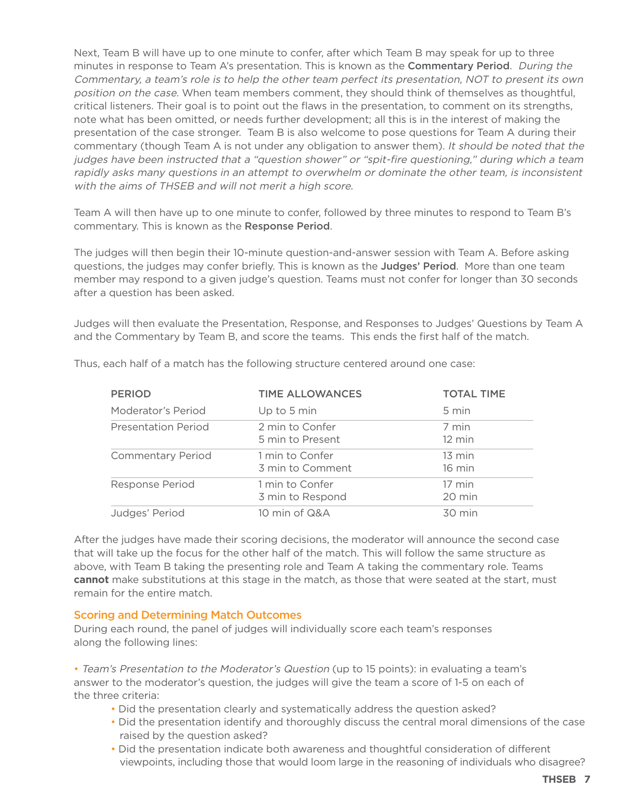Next, Team B will have up to one minute to confer, after which Team B may speak for up to three minutes in response to Team A's presentation. This is known as the **Commentary Period**. During the Commentary, a team's role is to help the other team perfect its presentation, NOT to present its own position on the case. When team members comment, they should think of themselves as thoughtful, critical listeners. Their goal is to point out the flaws in the presentation, to comment on its strengths, note what has been omitted, or needs further development; all this is in the interest of making the presentation of the case stronger. Team B is also welcome to pose questions for Team A during their commentary (though Team A is not under any obligation to answer them). It should be noted that the judges have been instructed that a "question shower" or "spit-fire questioning," during which a team rapidly asks many questions in an attempt to overwhelm or dominate the other team, is inconsistent with the aims of THSEB and will not merit a high score.

Team A will then have up to one minute to confer, followed by three minutes to respond to Team B's commentary. This is known as the Response Period.

The judges will then begin their 10-minute question-and-answer session with Team A. Before asking questions, the judges may confer briefly. This is known as the Judges' Period. More than one team member may respond to a given judge's question. Teams must not confer for longer than 30 seconds after a question has been asked.

Judges will then evaluate the Presentation, Response, and Responses to Judges' Questions by Team A and the Commentary by Team B, and score the teams. This ends the first half of the match.

| <b>PERIOD</b>              | <b>TIME ALLOWANCES</b>              | <b>TOTAL TIME</b>          |
|----------------------------|-------------------------------------|----------------------------|
| Moderator's Period         | Up to 5 min                         | 5 min                      |
| <b>Presentation Period</b> | 2 min to Confer<br>5 min to Present | 7 min<br>$12 \text{ min}$  |
| <b>Commentary Period</b>   | 1 min to Confer<br>3 min to Comment | $13 \text{ min}$<br>16 min |
| <b>Response Period</b>     | 1 min to Confer<br>3 min to Respond | 17 min<br>20 min           |
| Judges' Period             | 10 min of Q&A                       | $30 \text{ min}$           |

Thus, each half of a match has the following structure centered around one case:

After the judges have made their scoring decisions, the moderator will announce the second case that will take up the focus for the other half of the match. This will follow the same structure as above, with Team B taking the presenting role and Team A taking the commentary role. Teams **cannot** make substitutions at this stage in the match, as those that were seated at the start, must remain for the entire match.

### Scoring and Determining Match Outcomes

During each round, the panel of judges will individually score each team's responses along the following lines:

• Team's Presentation to the Moderator's Question (up to 15 points): in evaluating a team's answer to the moderator's question, the judges will give the team a score of 1-5 on each of the three criteria:

- Did the presentation clearly and systematically address the question asked?
- Did the presentation identify and thoroughly discuss the central moral dimensions of the case raised by the question asked?
- Did the presentation indicate both awareness and thoughtful consideration of different viewpoints, including those that would loom large in the reasoning of individuals who disagree?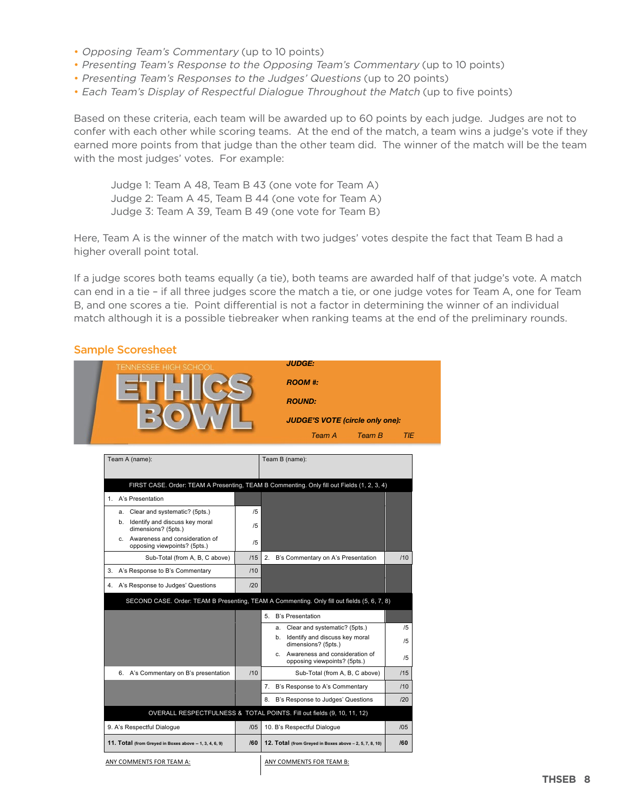- Opposing Team's Commentary (up to 10 points)
- Presenting Team's Response to the Opposing Team's Commentary (up to 10 points)
- Presenting Team's Responses to the Judges' Questions (up to 20 points)
- Each Team's Display of Respectful Dialogue Throughout the Match (up to five points)

Based on these criteria, each team will be awarded up to 60 points by each judge. Judges are not to confer with each other while scoring teams. At the end of the match, a team wins a judge's vote if they earned more points from that judge than the other team did. The winner of the match will be the team with the most judges' votes. For example:

Judge 1: Team A 48, Team B 43 (one vote for Team A) Judge 2: Team A 45, Team B 44 (one vote for Team A) Judge 3: Team A 39, Team B 49 (one vote for Team B)

Here, Team A is the winner of the match with two judges' votes despite the fact that Team B had a higher overall point total.

If a judge scores both teams equally (a tie), both teams are awarded half of that judge's vote. A match can end in a tie – if all three judges score the match a tie, or one judge votes for Team A, one for Team B, and one scores a tie. Point differential is not a factor in determining the winner of an individual match although it is a possible tiebreaker when ranking teams at the end of the preliminary rounds.

### Sample Scoresheet

| TENNESSEE HIGH SCHOOL                                             |     | <b>JUDGE:</b>                                                                               |            |
|-------------------------------------------------------------------|-----|---------------------------------------------------------------------------------------------|------------|
|                                                                   |     | <b>ROOM #:</b>                                                                              |            |
|                                                                   |     | <b>ROUND:</b>                                                                               |            |
|                                                                   |     | <b>JUDGE'S VOTE (circle only one):</b>                                                      |            |
|                                                                   |     | Team B<br>Team A                                                                            | <b>TIE</b> |
| Team A (name):                                                    |     | Team B (name):                                                                              |            |
|                                                                   |     |                                                                                             |            |
|                                                                   |     | FIRST CASE. Order: TEAM A Presenting, TEAM B Commenting. Only fill out Fields (1, 2, 3, 4)  |            |
| 1. A's Presentation                                               |     |                                                                                             |            |
| Clear and systematic? (5pts.)<br>a.                               | /5  |                                                                                             |            |
| b. Identify and discuss key moral<br>dimensions? (5pts.)          | /5  |                                                                                             |            |
| c. Awareness and consideration of<br>opposing viewpoints? (5pts.) | /5  |                                                                                             |            |
| Sub-Total (from A, B, C above)                                    | /15 | 2.<br>B's Commentary on A's Presentation                                                    | /10        |
| 3.<br>A's Response to B's Commentary                              | /10 |                                                                                             |            |
| 4. A's Response to Judges' Questions                              | /20 |                                                                                             |            |
|                                                                   |     | SECOND CASE. Order: TEAM B Presenting, TEAM A Commenting. Only fill out fields (5, 6, 7, 8) |            |
|                                                                   |     | 5. B's Presentation                                                                         |            |
|                                                                   |     | a. Clear and systematic? (5pts.)                                                            | /5         |
|                                                                   |     | Identify and discuss key moral<br>b.<br>dimensions? (5pts.)                                 | /5         |
|                                                                   |     | c. Awareness and consideration of<br>opposing viewpoints? (5pts.)                           | /5         |
| 6. A's Commentary on B's presentation                             | /10 | Sub-Total (from A, B, C above)                                                              | /15        |
|                                                                   |     | 7. B's Response to A's Commentary                                                           | /10        |
|                                                                   |     | B's Response to Judges' Questions<br>8.                                                     | 120        |
|                                                                   |     | OVERALL RESPECTFULNESS & TOTAL POINTS. Fill out fields (9, 10, 11, 12)                      |            |
| 9. A's Respectful Dialogue                                        | /05 | 10. B's Respectful Dialogue                                                                 | /05        |
| 11. Total (from Greyed in Boxes above -- 1, 3, 4, 6, 9)           | /60 | 12. Total (from Greyed in Boxes above - 2, 5, 7, 8, 10)                                     | /60        |
|                                                                   |     |                                                                                             |            |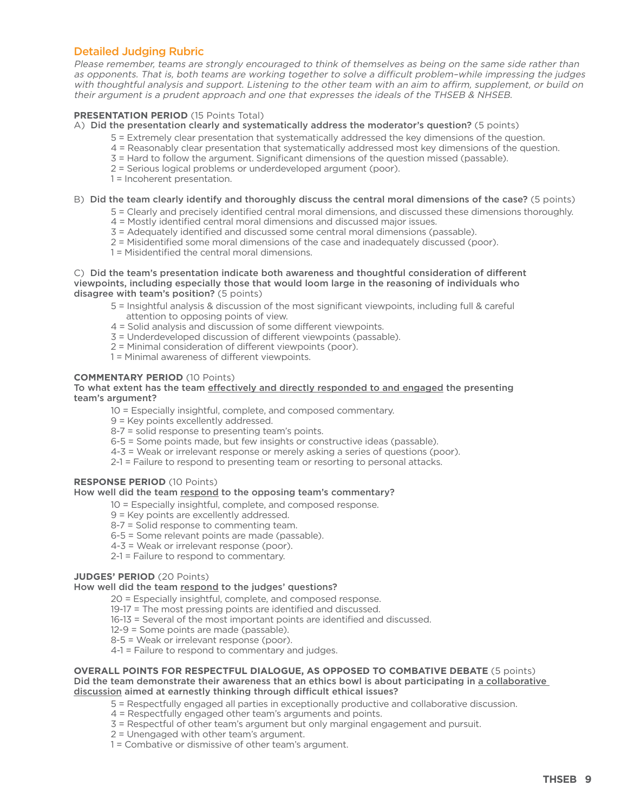### Detailed Judging Rubric

Please remember, teams are strongly encouraged to think of themselves as being on the same side rather than as opponents. That is, both teams are working together to solve a difficult problem–while impressing the judges with thoughtful analysis and support. Listening to the other team with an aim to affirm, supplement, or build on their argument is a prudent approach and one that expresses the ideals of the THSEB & NHSEB.

### **PRESENTATION PERIOD** (15 Points Total)

- A) Did the presentation clearly and systematically address the moderator's question? (5 points)
	- 5 = Extremely clear presentation that systematically addressed the key dimensions of the question.
	- 4 = Reasonably clear presentation that systematically addressed most key dimensions of the question.
	- 3 = Hard to follow the argument. Significant dimensions of the question missed (passable).
	- 2 = Serious logical problems or underdeveloped argument (poor).
	- 1 = Incoherent presentation.

### B) Did the team clearly identify and thoroughly discuss the central moral dimensions of the case? (5 points)

- 5 = Clearly and precisely identified central moral dimensions, and discussed these dimensions thoroughly.
- 4 = Mostly identified central moral dimensions and discussed major issues.
- 3 = Adequately identified and discussed some central moral dimensions (passable).
- 2 = Misidentified some moral dimensions of the case and inadequately discussed (poor).
- 1 = Misidentified the central moral dimensions.

### C) Did the team's presentation indicate both awareness and thoughtful consideration of diferent viewpoints, including especially those that would loom large in the reasoning of individuals who disagree with team's position? (5 points)

- 5 = Insightful analysis & discussion of the most significant viewpoints, including full & careful attention to opposing points of view.
- 4 = Solid analysis and discussion of some different viewpoints.
- 3 = Underdeveloped discussion of different viewpoints (passable).
- 2 = Minimal consideration of different viewpoints (poor).
- 1 = Minimal awareness of different viewpoints.

### **COMMENTARY PERIOD** (10 Points)

### To what extent has the team effectively and directly responded to and engaged the presenting team's argument?

- 10 = Especially insightful, complete, and composed commentary.
- 9 = Key points excellently addressed.
- 8-7 = solid response to presenting team's points.
- 6-5 = Some points made, but few insights or constructive ideas (passable).
- 4-3 = Weak or irrelevant response or merely asking a series of questions (poor).
- 2-1 = Failure to respond to presenting team or resorting to personal attacks.

### **RESPONSE PERIOD** (10 Points)

### How well did the team respond to the opposing team's commentary?

- 10 = Especially insightful, complete, and composed response.
- 9 = Key points are excellently addressed.
- 8-7 = Solid response to commenting team.
- 6-5 = Some relevant points are made (passable).
- 4-3 = Weak or irrelevant response (poor).
- 2-1 = Failure to respond to commentary.

### **JUDGES' PERIOD** (20 Points)

### How well did the team respond to the judges' questions?

- 20 = Especially insightful, complete, and composed response.
- 19-17 = The most pressing points are identified and discussed.
- 16-13 = Several of the most important points are identified and discussed.
- 12-9 = Some points are made (passable).
- 8-5 = Weak or irrelevant response (poor).
- 4-1 = Failure to respond to commentary and judges.

### **OVERALL POINTS FOR RESPECTFUL DIALOGUE, AS OPPOSED TO COMBATIVE DEBATE** (5 points) Did the team demonstrate their awareness that an ethics bowl is about participating in a collaborative discussion aimed at earnestly thinking through difficult ethical issues?

- 5 = Respectfully engaged all parties in exceptionally productive and collaborative discussion.
- 4 = Respectfully engaged other team's arguments and points.
- 3 = Respectful of other team's argument but only marginal engagement and pursuit.
- 2 = Unengaged with other team's argument.
- 1 = Combative or dismissive of other team's argument.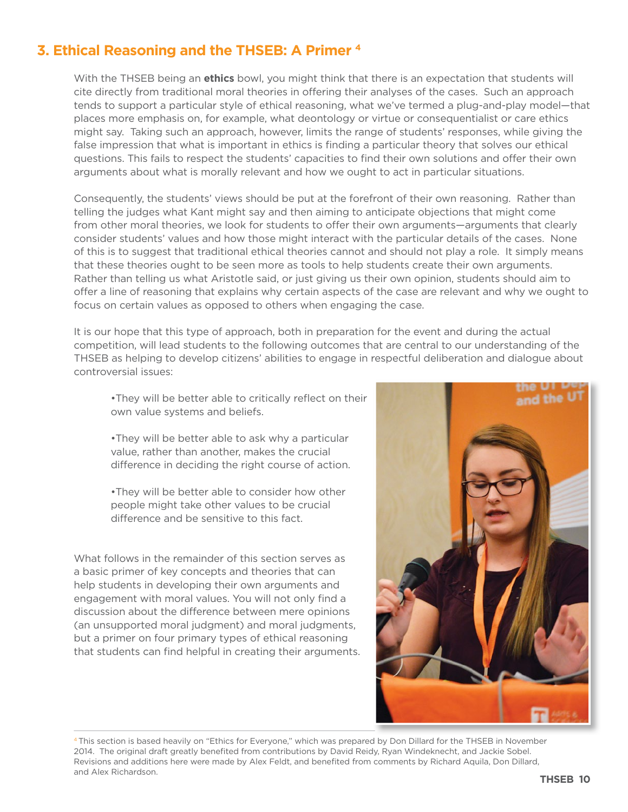# 3. Ethical Reasoning and the THSEB: A Primer<sup>4</sup>

With the THSEB being an ethics bowl, you might think that there is an expectation that students will cite directly from traditional moral theories in offering their analyses of the cases. Such an approach tends to support a particular style of ethical reasoning, what we've termed a plug-and-play model—that places more emphasis on, for example, what deontology or virtue or consequentialist or care ethics might say. Taking such an approach, however, limits the range of students' responses, while giving the false impression that what is important in ethics is finding a particular theory that solves our ethical questions. This fails to respect the students' capacities to find their own solutions and offer their own arguments about what is morally relevant and how we ought to act in particular situations.

Consequently, the students' views should be put at the forefront of their own reasoning. Rather than telling the judges what Kant might say and then aiming to anticipate objections that might come from other moral theories, we look for students to offer their own arguments—arguments that clearly consider students' values and how those might interact with the particular details of the cases. None of this is to suggest that traditional ethical theories cannot and should not play a role. It simply means that these theories ought to be seen more as tools to help students create their own arguments. Rather than telling us what Aristotle said, or just giving us their own opinion, students should aim to offer a line of reasoning that explains why certain aspects of the case are relevant and why we ought to focus on certain values as opposed to others when engaging the case.

It is our hope that this type of approach, both in preparation for the event and during the actual competition, will lead students to the following outcomes that are central to our understanding of the THSEB as helping to develop citizens' abilities to engage in respectful deliberation and dialogue about controversial issues:

. They will be better able to critically reflect on their own value systems and beliefs.

. They will be better able to ask why a particular value, rather than another, makes the crucial difference in deciding the right course of action.

. They will be better able to consider how other people might take other values to be crucial difference and be sensitive to this fact.

What follows in the remainder of this section serves as a basic primer of key concepts and theories that can help students in developing their own arguments and engagement with moral values. You will not only find a discussion about the difference between mere opinions (an unsupported moral judgment) and moral judgments, but a primer on four primary types of ethical reasoning that students can find helpful in creating their arguments.



<sup>&</sup>lt;sup>4</sup>This section is based heavily on "Ethics for Everyone," which was prepared by Don Dillard for the THSEB in November 2014. The original draft greatly benefited from contributions by David Reidy, Ryan Windeknecht, and Jackie Sobel. Revisions and additions here were made by Alex Feldt, and benefited from comments by Richard Aquila, Don Dillard, and Alex Richardson.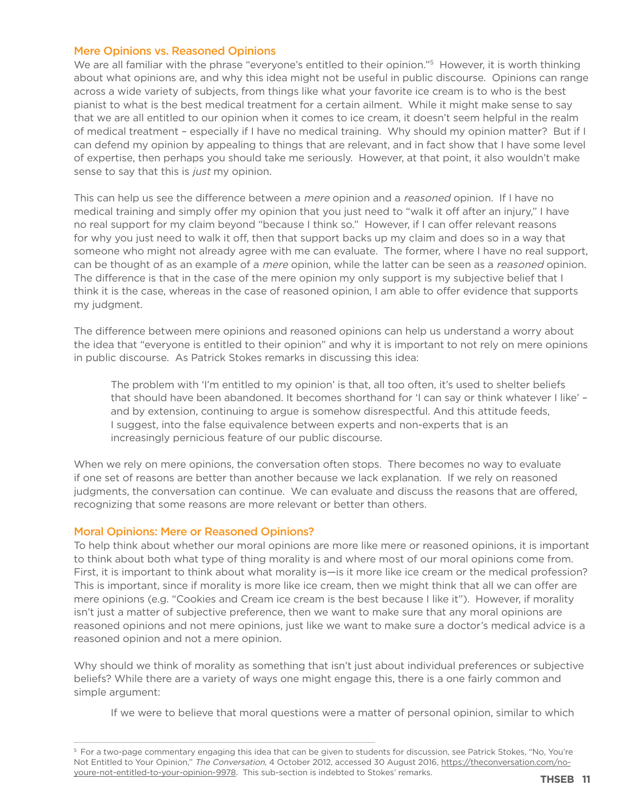### Mere Opinions vs. Reasoned Opinions

We are all familiar with the phrase "everyone's entitled to their opinion."<sup>5</sup> However, it is worth thinking about what opinions are, and why this idea might not be useful in public discourse. Opinions can range across a wide variety of subjects, from things like what your favorite ice cream is to who is the best pianist to what is the best medical treatment for a certain ailment. While it might make sense to say that we are all entitled to our opinion when it comes to ice cream, it doesn't seem helpful in the realm of medical treatment – especially if I have no medical training. Why should my opinion matter? But if I can defend my opinion by appealing to things that are relevant, and in fact show that I have some level of expertise, then perhaps you should take me seriously. However, at that point, it also wouldn't make sense to say that this is just my opinion.

This can help us see the difference between a *mere* opinion and a *reasoned* opinion. If I have no medical training and simply offer my opinion that you just need to "walk it off after an injury," I have no real support for my claim beyond "because I think so." However, if I can offer relevant reasons for why you just need to walk it off, then that support backs up my claim and does so in a way that someone who might not already agree with me can evaluate. The former, where I have no real support, can be thought of as an example of a *mere* opinion, while the latter can be seen as a *reasoned* opinion. The difference is that in the case of the mere opinion my only support is my subjective belief that I think it is the case, whereas in the case of reasoned opinion, I am able to offer evidence that supports my judgment.

The difference between mere opinions and reasoned opinions can help us understand a worry about the idea that "everyone is entitled to their opinion" and why it is important to not rely on mere opinions in public discourse. As Patrick Stokes remarks in discussing this idea:

The problem with 'I'm entitled to my opinion' is that, all too often, it's used to shelter beliefs that should have been abandoned. It becomes shorthand for 'I can say or think whatever I like' – and by extension, continuing to argue is somehow disrespectful. And this attitude feeds, I suggest, into the false equivalence between experts and non-experts that is an increasingly pernicious feature of our public discourse.

When we rely on mere opinions, the conversation often stops. There becomes no way to evaluate if one set of reasons are better than another because we lack explanation. If we rely on reasoned judgments, the conversation can continue. We can evaluate and discuss the reasons that are offered, recognizing that some reasons are more relevant or better than others.

### Moral Opinions: Mere or Reasoned Opinions?

To help think about whether our moral opinions are more like mere or reasoned opinions, it is important to think about both what type of thing morality is and where most of our moral opinions come from. First, it is important to think about what morality is—is it more like ice cream or the medical profession? This is important, since if morality is more like ice cream, then we might think that all we can offer are mere opinions (e.g. "Cookies and Cream ice cream is the best because I like it"). However, if morality isn't just a matter of subjective preference, then we want to make sure that any moral opinions are reasoned opinions and not mere opinions, just like we want to make sure a doctor's medical advice is a reasoned opinion and not a mere opinion.

Why should we think of morality as something that isn't just about individual preferences or subjective beliefs? While there are a variety of ways one might engage this, there is a one fairly common and simple argument:

If we were to believe that moral questions were a matter of personal opinion, similar to which

<sup>&</sup>lt;sup>5</sup> For a two-page commentary engaging this idea that can be given to students for discussion, see Patrick Stokes, "No, You're Not Entitled to Your Opinion," The Conversation, 4 October 2012, accessed 30 August 2016, https://theconversation.com/noyoure-not-entitled-to-your-opinion-9978. This sub-section is indebted to Stokes' remarks.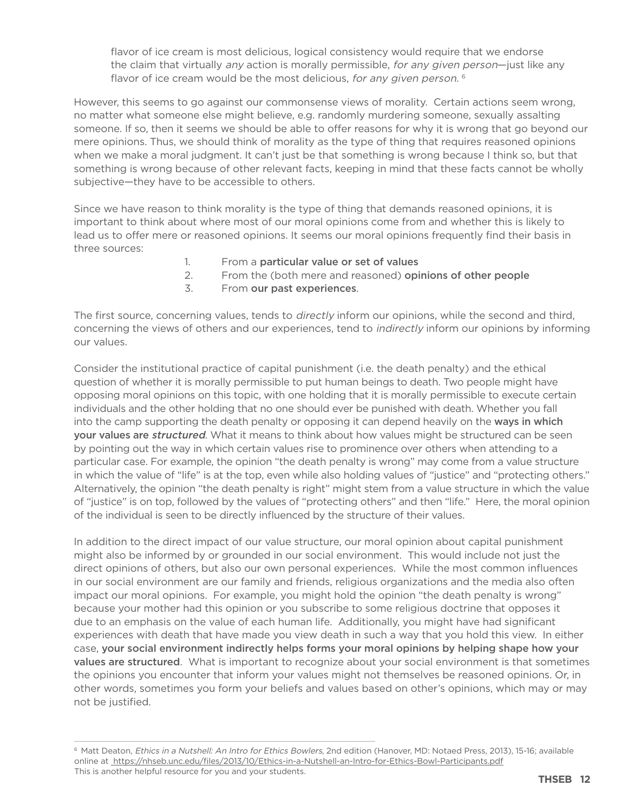flavor of ice cream is most delicious, logical consistency would require that we endorse the claim that virtually any action is morally permissible, for any given person-just like any flavor of ice cream would be the most delicious, for any given person.<sup>6</sup>

However, this seems to go against our commonsense views of morality. Certain actions seem wrong, no matter what someone else might believe, e.g. randomly murdering someone, sexually assalting someone. If so, then it seems we should be able to offer reasons for why it is wrong that go beyond our mere opinions. Thus, we should think of morality as the type of thing that requires reasoned opinions when we make a moral judgment. It can't just be that something is wrong because I think so, but that something is wrong because of other relevant facts, keeping in mind that these facts cannot be wholly subjective—they have to be accessible to others.

Since we have reason to think morality is the type of thing that demands reasoned opinions, it is important to think about where most of our moral opinions come from and whether this is likely to lead us to offer mere or reasoned opinions. It seems our moral opinions frequently find their basis in three sources:

- 1. From a particular value or set of values
- 2. From the (both mere and reasoned) opinions of other people
- 3. From our past experiences.

The first source, concerning values, tends to directly inform our opinions, while the second and third, concerning the views of others and our experiences, tend to indirectly inform our opinions by informing our values.

Consider the institutional practice of capital punishment (i.e. the death penalty) and the ethical question of whether it is morally permissible to put human beings to death. Two people might have opposing moral opinions on this topic, with one holding that it is morally permissible to execute certain individuals and the other holding that no one should ever be punished with death. Whether you fall into the camp supporting the death penalty or opposing it can depend heavily on the ways in which your values are *structured*. What it means to think about how values might be structured can be seen by pointing out the way in which certain values rise to prominence over others when attending to a particular case. For example, the opinion "the death penalty is wrong" may come from a value structure in which the value of "life" is at the top, even while also holding values of "justice" and "protecting others." Alternatively, the opinion "the death penalty is right" might stem from a value structure in which the value of "justice" is on top, followed by the values of "protecting others" and then "life." Here, the moral opinion of the individual is seen to be directly influenced by the structure of their values.

In addition to the direct impact of our value structure, our moral opinion about capital punishment might also be informed by or grounded in our social environment. This would include not just the direct opinions of others, but also our own personal experiences. While the most common influences in our social environment are our family and friends, religious organizations and the media also often impact our moral opinions. For example, you might hold the opinion "the death penalty is wrong" because your mother had this opinion or you subscribe to some religious doctrine that opposes it due to an emphasis on the value of each human life. Additionally, you might have had significant experiences with death that have made you view death in such a way that you hold this view. In either case, your social environment indirectly helps forms your moral opinions by helping shape how your values are structured. What is important to recognize about your social environment is that sometimes the opinions you encounter that inform your values might not themselves be reasoned opinions. Or, in other words, sometimes you form your beliefs and values based on other's opinions, which may or may not be justified.

<sup>&</sup>lt;sup>6</sup> Matt Deaton, Ethics in a Nutshell: An Intro for Ethics Bowlers, 2nd edition (Hanover, MD: Notaed Press, 2013), 15-16; available online at https://nhseb.unc.edu/files/2013/10/Ethics-in-a-Nutshell-an-Intro-for-Ethics-Bowl-Participants.pdf This is another helpful resource for you and your students.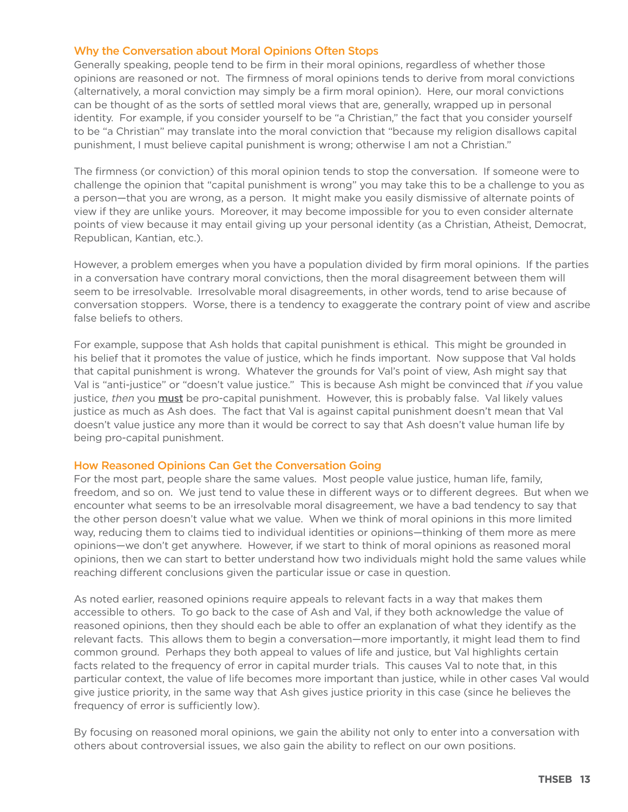### Why the Conversation about Moral Opinions Often Stops

Generally speaking, people tend to be firm in their moral opinions, regardless of whether those opinions are reasoned or not. The firmness of moral opinions tends to derive from moral convictions (alternatively, a moral conviction may simply be a firm moral opinion). Here, our moral convictions can be thought of as the sorts of settled moral views that are, generally, wrapped up in personal identity. For example, if you consider yourself to be "a Christian," the fact that you consider yourself to be "a Christian" may translate into the moral conviction that "because my religion disallows capital punishment, I must believe capital punishment is wrong; otherwise I am not a Christian."

The firmness (or conviction) of this moral opinion tends to stop the conversation. If someone were to challenge the opinion that "capital punishment is wrong" you may take this to be a challenge to you as a person—that you are wrong, as a person. It might make you easily dismissive of alternate points of view if they are unlike yours. Moreover, it may become impossible for you to even consider alternate points of view because it may entail giving up your personal identity (as a Christian, Atheist, Democrat, Republican, Kantian, etc.).

However, a problem emerges when you have a population divided by firm moral opinions. If the parties in a conversation have contrary moral convictions, then the moral disagreement between them will seem to be irresolvable. Irresolvable moral disagreements, in other words, tend to arise because of conversation stoppers. Worse, there is a tendency to exaggerate the contrary point of view and ascribe false beliefs to others.

For example, suppose that Ash holds that capital punishment is ethical. This might be grounded in his belief that it promotes the value of justice, which he finds important. Now suppose that Val holds that capital punishment is wrong. Whatever the grounds for Val's point of view, Ash might say that Val is "anti-justice" or "doesn't value justice." This is because Ash might be convinced that if you value justice, then you **must** be pro-capital punishment. However, this is probably false. Val likely values justice as much as Ash does. The fact that Val is against capital punishment doesn't mean that Val doesn't value justice any more than it would be correct to say that Ash doesn't value human life by being pro-capital punishment.

### How Reasoned Opinions Can Get the Conversation Going

For the most part, people share the same values. Most people value justice, human life, family, freedom, and so on. We just tend to value these in different ways or to different degrees. But when we encounter what seems to be an irresolvable moral disagreement, we have a bad tendency to say that the other person doesn't value what we value. When we think of moral opinions in this more limited way, reducing them to claims tied to individual identities or opinions—thinking of them more as mere opinions—we don't get anywhere. However, if we start to think of moral opinions as reasoned moral opinions, then we can start to better understand how two individuals might hold the same values while reaching different conclusions given the particular issue or case in question.

As noted earlier, reasoned opinions require appeals to relevant facts in a way that makes them accessible to others. To go back to the case of Ash and Val, if they both acknowledge the value of reasoned opinions, then they should each be able to offer an explanation of what they identify as the relevant facts. This allows them to begin a conversation—more importantly, it might lead them to find common ground. Perhaps they both appeal to values of life and justice, but Val highlights certain facts related to the frequency of error in capital murder trials. This causes Val to note that, in this particular context, the value of life becomes more important than justice, while in other cases Val would give justice priority, in the same way that Ash gives justice priority in this case (since he believes the frequency of error is sufficiently low).

By focusing on reasoned moral opinions, we gain the ability not only to enter into a conversation with others about controversial issues, we also gain the ability to reflect on our own positions.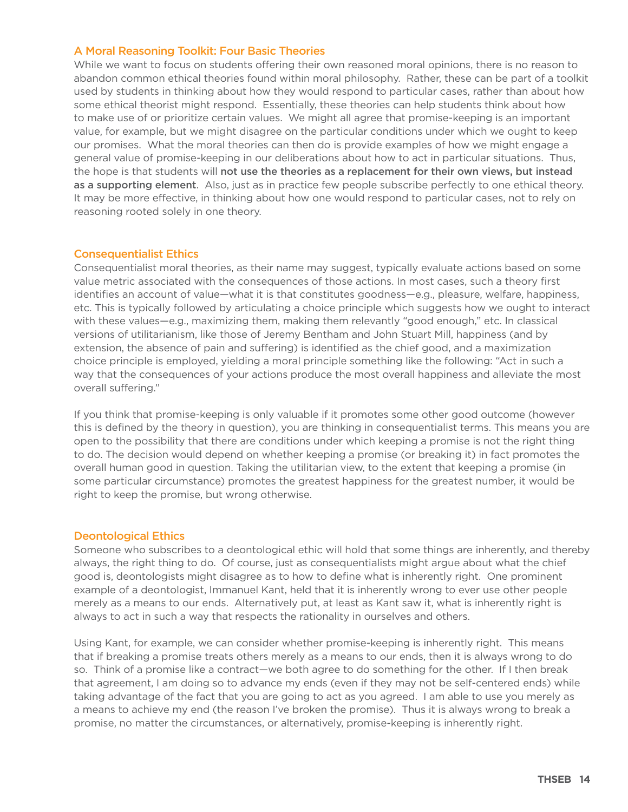### A Moral Reasoning Toolkit: Four Basic Theories

While we want to focus on students offering their own reasoned moral opinions, there is no reason to abandon common ethical theories found within moral philosophy. Rather, these can be part of a toolkit used by students in thinking about how they would respond to particular cases, rather than about how some ethical theorist might respond. Essentially, these theories can help students think about how to make use of or prioritize certain values. We might all agree that promise-keeping is an important value, for example, but we might disagree on the particular conditions under which we ought to keep our promises. What the moral theories can then do is provide examples of how we might engage a general value of promise-keeping in our deliberations about how to act in particular situations. Thus, the hope is that students will not use the theories as a replacement for their own views, but instead as a supporting element. Also, just as in practice few people subscribe perfectly to one ethical theory. It may be more effective, in thinking about how one would respond to particular cases, not to rely on reasoning rooted solely in one theory.

### Consequentialist Ethics

Consequentialist moral theories, as their name may suggest, typically evaluate actions based on some value metric associated with the consequences of those actions. In most cases, such a theory first identifies an account of value—what it is that constitutes goodness—e.g., pleasure, welfare, happiness, etc. This is typically followed by articulating a choice principle which suggests how we ought to interact with these values—e.g., maximizing them, making them relevantly "good enough," etc. In classical versions of utilitarianism, like those of Jeremy Bentham and John Stuart Mill, happiness (and by extension, the absence of pain and suffering) is identified as the chief good, and a maximization choice principle is employed, yielding a moral principle something like the following: "Act in such a way that the consequences of your actions produce the most overall happiness and alleviate the most overall suffering."

If you think that promise-keeping is only valuable if it promotes some other good outcome (however this is defined by the theory in question), you are thinking in consequentialist terms. This means you are open to the possibility that there are conditions under which keeping a promise is not the right thing to do. The decision would depend on whether keeping a promise (or breaking it) in fact promotes the overall human good in question. Taking the utilitarian view, to the extent that keeping a promise (in some particular circumstance) promotes the greatest happiness for the greatest number, it would be right to keep the promise, but wrong otherwise.

### Deontological Ethics

Someone who subscribes to a deontological ethic will hold that some things are inherently, and thereby always, the right thing to do. Of course, just as consequentialists might argue about what the chief good is, deontologists might disagree as to how to define what is inherently right. One prominent example of a deontologist, Immanuel Kant, held that it is inherently wrong to ever use other people merely as a means to our ends. Alternatively put, at least as Kant saw it, what is inherently right is always to act in such a way that respects the rationality in ourselves and others.

Using Kant, for example, we can consider whether promise-keeping is inherently right. This means that if breaking a promise treats others merely as a means to our ends, then it is always wrong to do so. Think of a promise like a contract—we both agree to do something for the other. If I then break that agreement, I am doing so to advance my ends (even if they may not be self-centered ends) while taking advantage of the fact that you are going to act as you agreed. I am able to use you merely as a means to achieve my end (the reason I've broken the promise). Thus it is always wrong to break a promise, no matter the circumstances, or alternatively, promise-keeping is inherently right.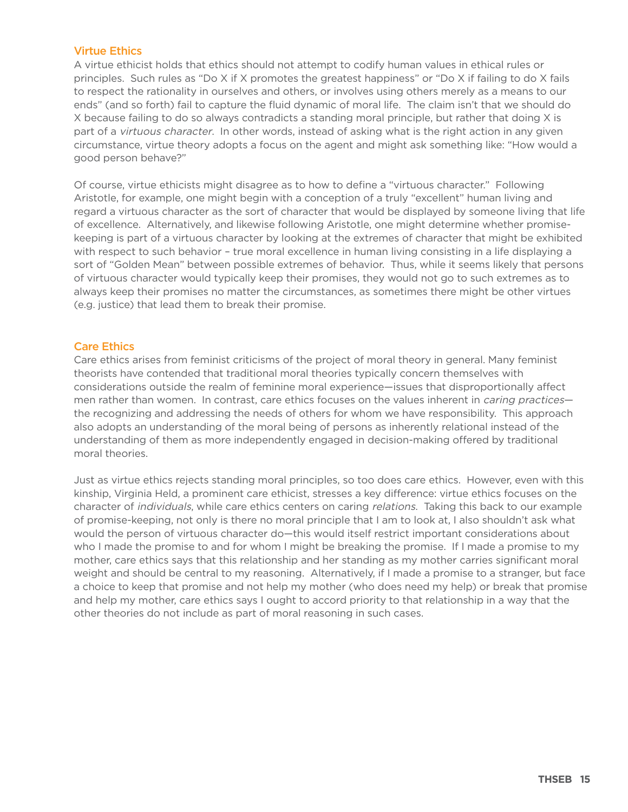### Virtue Ethics

A virtue ethicist holds that ethics should not attempt to codify human values in ethical rules or principles. Such rules as "Do X if X promotes the greatest happiness" or "Do X if failing to do X fails to respect the rationality in ourselves and others, or involves using others merely as a means to our ends" (and so forth) fail to capture the fluid dynamic of moral life. The claim isn't that we should do X because failing to do so always contradicts a standing moral principle, but rather that doing X is part of a virtuous character. In other words, instead of asking what is the right action in any given circumstance, virtue theory adopts a focus on the agent and might ask something like: "How would a good person behave?"

Of course, virtue ethicists might disagree as to how to define a "virtuous character." Following Aristotle, for example, one might begin with a conception of a truly "excellent" human living and regard a virtuous character as the sort of character that would be displayed by someone living that life of excellence. Alternatively, and likewise following Aristotle, one might determine whether promisekeeping is part of a virtuous character by looking at the extremes of character that might be exhibited with respect to such behavior – true moral excellence in human living consisting in a life displaying a sort of "Golden Mean" between possible extremes of behavior. Thus, while it seems likely that persons of virtuous character would typically keep their promises, they would not go to such extremes as to always keep their promises no matter the circumstances, as sometimes there might be other virtues (e.g. justice) that lead them to break their promise.

### Care Ethics

Care ethics arises from feminist criticisms of the project of moral theory in general. Many feminist theorists have contended that traditional moral theories typically concern themselves with considerations outside the realm of feminine moral experience—issues that disproportionally affect men rather than women. In contrast, care ethics focuses on the values inherent in *caring practices* the recognizing and addressing the needs of others for whom we have responsibility. This approach also adopts an understanding of the moral being of persons as inherently relational instead of the understanding of them as more independently engaged in decision-making offered by traditional moral theories.

Just as virtue ethics rejects standing moral principles, so too does care ethics. However, even with this kinship, Virginia Held, a prominent care ethicist, stresses a key difference: virtue ethics focuses on the character of individuals, while care ethics centers on caring relations. Taking this back to our example of promise-keeping, not only is there no moral principle that I am to look at, I also shouldn't ask what would the person of virtuous character do—this would itself restrict important considerations about who I made the promise to and for whom I might be breaking the promise. If I made a promise to my mother, care ethics says that this relationship and her standing as my mother carries significant moral weight and should be central to my reasoning. Alternatively, if I made a promise to a stranger, but face a choice to keep that promise and not help my mother (who does need my help) or break that promise and help my mother, care ethics says I ought to accord priority to that relationship in a way that the other theories do not include as part of moral reasoning in such cases.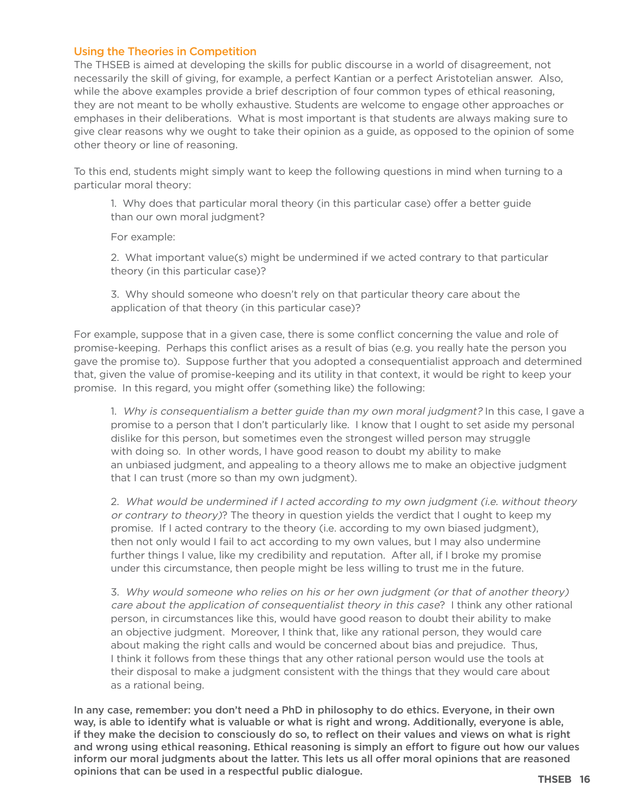### Using the Theories in Competition

The THSEB is aimed at developing the skills for public discourse in a world of disagreement, not necessarily the skill of giving, for example, a perfect Kantian or a perfect Aristotelian answer. Also, while the above examples provide a brief description of four common types of ethical reasoning, they are not meant to be wholly exhaustive. Students are welcome to engage other approaches or emphases in their deliberations. What is most important is that students are always making sure to give clear reasons why we ought to take their opinion as a guide, as opposed to the opinion of some other theory or line of reasoning.

To this end, students might simply want to keep the following questions in mind when turning to a particular moral theory:

1. Why does that particular moral theory (in this particular case) offer a better guide than our own moral judgment?

For example:

2. What important value(s) might be undermined if we acted contrary to that particular theory (in this particular case)?

3. Why should someone who doesn't rely on that particular theory care about the application of that theory (in this particular case)?

For example, suppose that in a given case, there is some conflict concerning the value and role of promise-keeping. Perhaps this conflict arises as a result of bias (e.g. you really hate the person you gave the promise to). Suppose further that you adopted a consequentialist approach and determined that, given the value of promise-keeping and its utility in that context, it would be right to keep your promise. In this regard, you might offer (something like) the following:

1. Why is consequentialism a better guide than my own moral judgment? In this case, I gave a promise to a person that I don't particularly like. I know that I ought to set aside my personal dislike for this person, but sometimes even the strongest willed person may struggle with doing so. In other words, I have good reason to doubt my ability to make an unbiased judgment, and appealing to a theory allows me to make an objective judgment that I can trust (more so than my own judgment).

2. What would be undermined if I acted according to my own judgment (i.e. without theory or contrary to theory)? The theory in question yields the verdict that I ought to keep my promise. If I acted contrary to the theory (i.e. according to my own biased judgment), then not only would I fail to act according to my own values, but I may also undermine further things I value, like my credibility and reputation. After all, if I broke my promise under this circumstance, then people might be less willing to trust me in the future.

3. Why would someone who relies on his or her own judgment (or that of another theory) care about the application of consequentialist theory in this case? I think any other rational person, in circumstances like this, would have good reason to doubt their ability to make an objective judgment. Moreover, I think that, like any rational person, they would care about making the right calls and would be concerned about bias and prejudice. Thus, I think it follows from these things that any other rational person would use the tools at their disposal to make a judgment consistent with the things that they would care about as a rational being.

In any case, remember: you don't need a PhD in philosophy to do ethics. Everyone, in their own way, is able to identify what is valuable or what is right and wrong. Additionally, everyone is able, if they make the decision to consciously do so, to reflect on their values and views on what is right and wrong using ethical reasoning. Ethical reasoning is simply an effort to figure out how our values inform our moral judgments about the latter. This lets us all offer moral opinions that are reasoned opinions that can be used in a respectful public dialogue. **THSEB 16**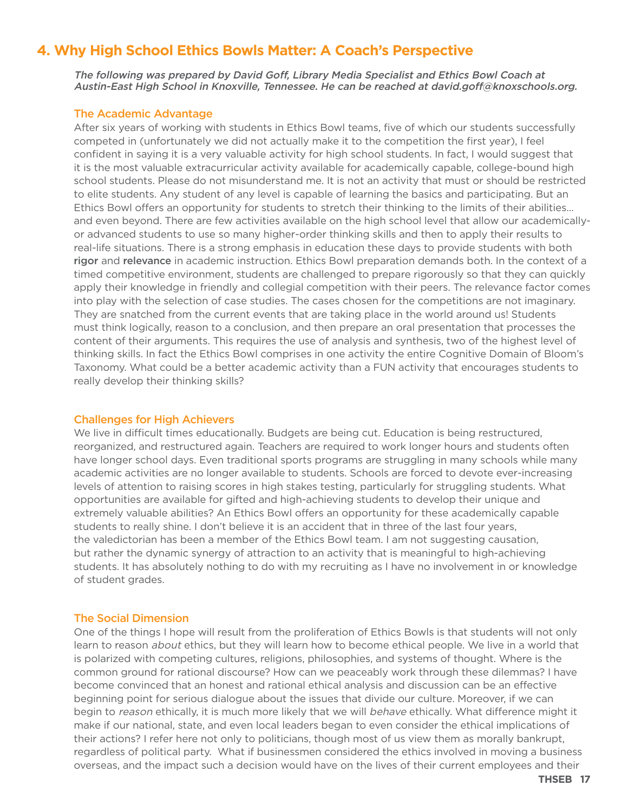# **4. Why High School Ethics Bowls Matter: A Coach's Perspective**

The following was prepared by David Gof, Library Media Specialist and Ethics Bowl Coach at Austin-East High School in Knoxville, Tennessee. He can be reached at david.goff@knoxschools.org.

### The Academic Advantage

After six years of working with students in Ethics Bowl teams, five of which our students successfully competed in (unfortunately we did not actually make it to the competition the first year), I feel confident in saying it is a very valuable activity for high school students. In fact, I would suggest that it is the most valuable extracurricular activity available for academically capable, college-bound high school students. Please do not misunderstand me. It is not an activity that must or should be restricted to elite students. Any student of any level is capable of learning the basics and participating. But an Ethics Bowl offers an opportunity for students to stretch their thinking to the limits of their abilities... and even beyond. There are few activities available on the high school level that allow our academicallyor advanced students to use so many higher-order thinking skills and then to apply their results to real-life situations. There is a strong emphasis in education these days to provide students with both rigor and relevance in academic instruction. Ethics Bowl preparation demands both. In the context of a timed competitive environment, students are challenged to prepare rigorously so that they can quickly apply their knowledge in friendly and collegial competition with their peers. The relevance factor comes into play with the selection of case studies. The cases chosen for the competitions are not imaginary. They are snatched from the current events that are taking place in the world around us! Students must think logically, reason to a conclusion, and then prepare an oral presentation that processes the content of their arguments. This requires the use of analysis and synthesis, two of the highest level of thinking skills. In fact the Ethics Bowl comprises in one activity the entire Cognitive Domain of Bloom's Taxonomy. What could be a better academic activity than a FUN activity that encourages students to really develop their thinking skills?

### Challenges for High Achievers

We live in difficult times educationally. Budgets are being cut. Education is being restructured, reorganized, and restructured again. Teachers are required to work longer hours and students often have longer school days. Even traditional sports programs are struggling in many schools while many academic activities are no longer available to students. Schools are forced to devote ever-increasing levels of attention to raising scores in high stakes testing, particularly for struggling students. What opportunities are available for gifted and high-achieving students to develop their unique and extremely valuable abilities? An Ethics Bowl offers an opportunity for these academically capable students to really shine. I don't believe it is an accident that in three of the last four years, the valedictorian has been a member of the Ethics Bowl team. I am not suggesting causation, but rather the dynamic synergy of attraction to an activity that is meaningful to high-achieving students. It has absolutely nothing to do with my recruiting as I have no involvement in or knowledge of student grades.

### The Social Dimension

One of the things I hope will result from the proliferation of Ethics Bowls is that students will not only learn to reason *about* ethics, but they will learn how to become ethical people. We live in a world that is polarized with competing cultures, religions, philosophies, and systems of thought. Where is the common ground for rational discourse? How can we peaceably work through these dilemmas? I have become convinced that an honest and rational ethical analysis and discussion can be an effective beginning point for serious dialogue about the issues that divide our culture. Moreover, if we can begin to reason ethically, it is much more likely that we will behave ethically. What difference might it make if our national, state, and even local leaders began to even consider the ethical implications of their actions? I refer here not only to politicians, though most of us view them as morally bankrupt, regardless of political party. What if businessmen considered the ethics involved in moving a business overseas, and the impact such a decision would have on the lives of their current employees and their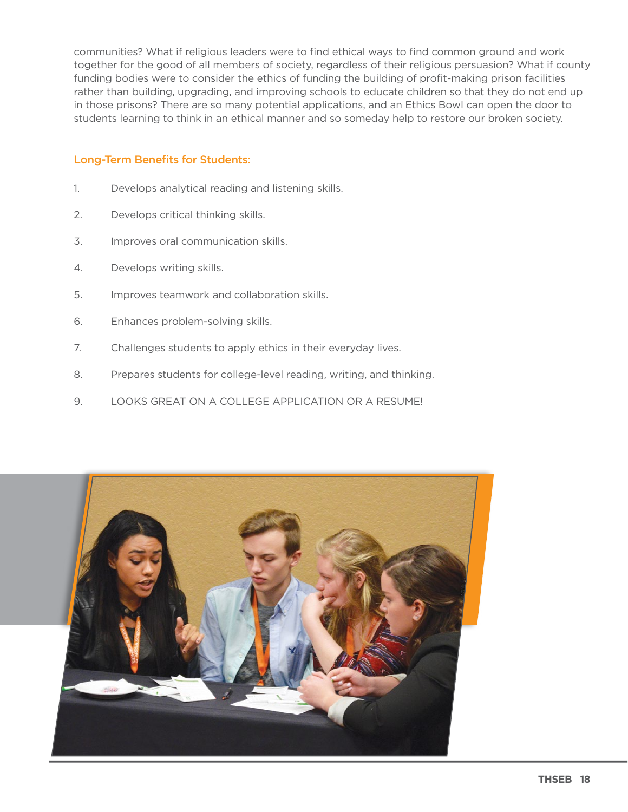communities? What if religious leaders were to find ethical ways to find common ground and work together for the good of all members of society, regardless of their religious persuasion? What if county funding bodies were to consider the ethics of funding the building of profit-making prison facilities rather than building, upgrading, and improving schools to educate children so that they do not end up in those prisons? There are so many potential applications, and an Ethics Bowl can open the door to students learning to think in an ethical manner and so someday help to restore our broken society.

### **Long-Term Benefits for Students:**

- Develops analytical reading and listening skills.  $1.$
- $2.$ Develops critical thinking skills.
- 3. Improves oral communication skills.
- $4.$ Develops writing skills.
- 5. Improves teamwork and collaboration skills.
- 6. Enhances problem-solving skills.
- $7.$ Challenges students to apply ethics in their everyday lives.
- Prepares students for college-level reading, writing, and thinking. 8.
- 9. LOOKS GREAT ON A COLLEGE APPLICATION OR A RESUME!

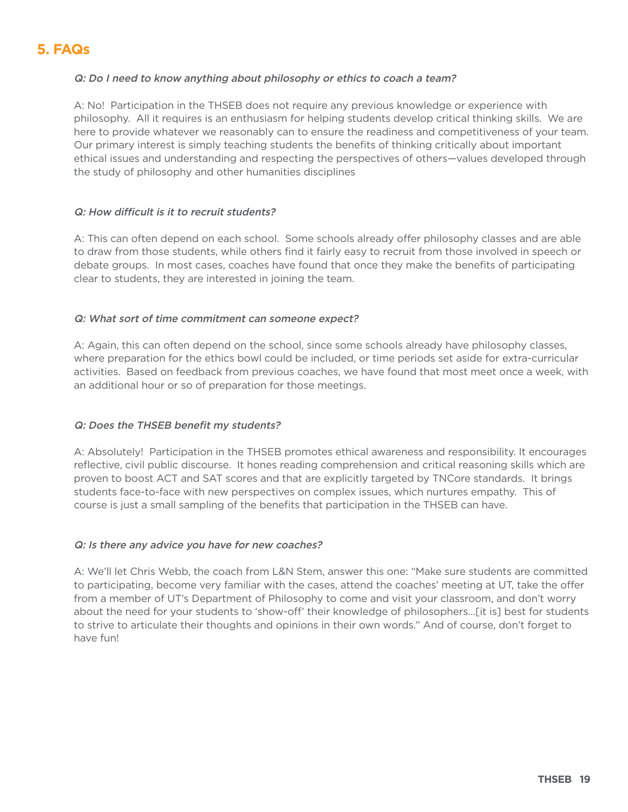# **5. FAQs**

### Q: Do I need to know anything about philosophy or ethics to coach a team?

A: No! Participation in the THSEB does not require any previous knowledge or experience with philosophy. All it requires is an enthusiasm for helping students develop critical thinking skills. We are here to provide whatever we reasonably can to ensure the readiness and competitiveness of your team. Our primary interest is simply teaching students the benefits of thinking critically about important ethical issues and understanding and respecting the perspectives of others—values developed through the study of philosophy and other humanities disciplines

### Q: How difficult is it to recruit students?

A: This can often depend on each school. Some schools already offer philosophy classes and are able to draw from those students, while others find it fairly easy to recruit from those involved in speech or debate groups. In most cases, coaches have found that once they make the benefits of participating clear to students, they are interested in joining the team.

### Q: What sort of time commitment can someone expect?

A: Again, this can often depend on the school, since some schools already have philosophy classes, where preparation for the ethics bowl could be included, or time periods set aside for extra-curricular activities. Based on feedback from previous coaches, we have found that most meet once a week, with an additional hour or so of preparation for those meetings.

### Q: Does the THSEB benefit my students?

A: Absolutely! Participation in the THSEB promotes ethical awareness and responsibility. It encourages reflective, civil public discourse. It hones reading comprehension and critical reasoning skills which are proven to boost ACT and SAT scores and that are explicitly targeted by TNCore standards. It brings students face-to-face with new perspectives on complex issues, which nurtures empathy. This of course is just a small sampling of the benefits that participation in the THSEB can have.

### Q: Is there any advice you have for new coaches?

A: We'll let Chris Webb, the coach from L&N Stem, answer this one: "Make sure students are committed to participating, become very familiar with the cases, attend the coaches' meeting at UT, take the offer from a member of UT's Department of Philosophy to come and visit your classroom, and don't worry about the need for your students to 'show-off' their knowledge of philosophers…[it is] best for students to strive to articulate their thoughts and opinions in their own words." And of course, don't forget to have fun!